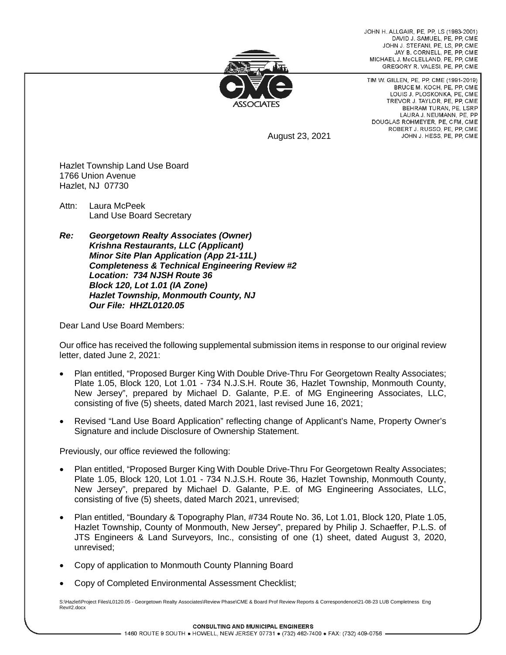JOHN H. ALLGAIR, PE, PP, LS (1983-2001) DAVID J. SAMUEL, PE, PP, CME JOHN J. STEFANI, PE, LS, PP, CME JAY B. CORNELL, PE, PP, CME MICHAEL J. McCLELLAND, PE. PP. CME GREGORY R. VALESI, PE, PP, CME



TIM W. GILLEN, PE, PP, CME (1991-2019) BRUCE M. KOCH, PE, PP, CME LOUIS J. PLOSKONKA, PE, CME TREVOR J. TAYLOR, PE. PP. CME BEHRAM TURAN, PE. LSRP LAURA J. NEUMANN, PE, PP DOUGLAS ROHMEYER, PE, CFM, CME ROBERT J. RUSSO, PE, PP, CME JOHN J. HESS, PE, PP, CME

August 23, 2021

Hazlet Township Land Use Board 1766 Union Avenue Hazlet, NJ 07730

Attn: Laura McPeek Land Use Board Secretary

*Re: Georgetown Realty Associates (Owner) Krishna Restaurants, LLC (Applicant) Minor Site Plan Application (App 21-11L) Completeness & Technical Engineering Review #2 Location: 734 NJSH Route 36 Block 120, Lot 1.01 (IA Zone) Hazlet Township, Monmouth County, NJ Our File: HHZL0120.05*

Dear Land Use Board Members:

Our office has received the following supplemental submission items in response to our original review letter, dated June 2, 2021:

- Plan entitled, "Proposed Burger King With Double Drive-Thru For Georgetown Realty Associates; Plate 1.05, Block 120, Lot 1.01 - 734 N.J.S.H. Route 36, Hazlet Township, Monmouth County, New Jersey", prepared by Michael D. Galante, P.E. of MG Engineering Associates, LLC, consisting of five (5) sheets, dated March 2021, last revised June 16, 2021;
- Revised "Land Use Board Application" reflecting change of Applicant's Name, Property Owner's Signature and include Disclosure of Ownership Statement.

Previously, our office reviewed the following:

- Plan entitled, "Proposed Burger King With Double Drive-Thru For Georgetown Realty Associates; Plate 1.05, Block 120, Lot 1.01 - 734 N.J.S.H. Route 36, Hazlet Township, Monmouth County, New Jersey", prepared by Michael D. Galante, P.E. of MG Engineering Associates, LLC, consisting of five (5) sheets, dated March 2021, unrevised;
- Plan entitled, "Boundary & Topography Plan, #734 Route No. 36, Lot 1.01, Block 120, Plate 1.05, Hazlet Township, County of Monmouth, New Jersey", prepared by Philip J. Schaeffer, P.L.S. of JTS Engineers & Land Surveyors, Inc., consisting of one (1) sheet, dated August 3, 2020, unrevised;
- Copy of application to Monmouth County Planning Board
- Copy of Completed Environmental Assessment Checklist;

S:\Hazlet\Project Files\L0120.05 - Georgetown Realty Associates\Review Phase\CME & Board Prof Review Reports & Correspondence\21-08-23 LUB Completness Eng Rev#2.docx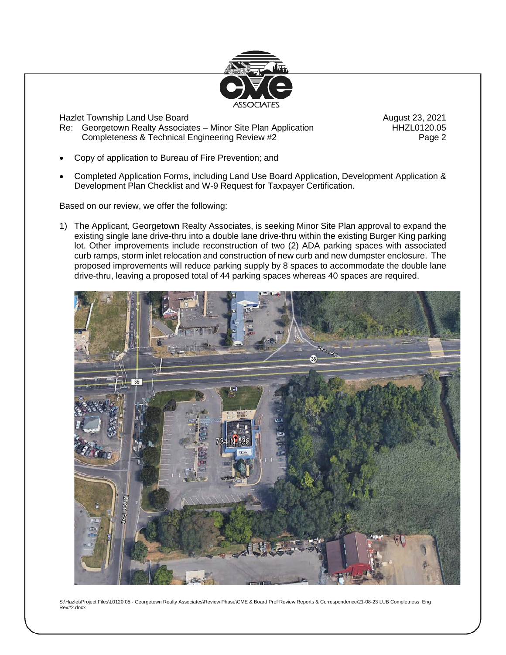

Hazlet Township Land Use Board August 23, 2021

Re: Georgetown Realty Associates – Minor Site Plan Application **HHZL0120.05** Completeness & Technical Engineering Review #2 Page 2

- Copy of application to Bureau of Fire Prevention; and
- Completed Application Forms, including Land Use Board Application, Development Application & Development Plan Checklist and W-9 Request for Taxpayer Certification.

Based on our review, we offer the following:

1) The Applicant, Georgetown Realty Associates, is seeking Minor Site Plan approval to expand the existing single lane drive-thru into a double lane drive-thru within the existing Burger King parking lot. Other improvements include reconstruction of two (2) ADA parking spaces with associated curb ramps, storm inlet relocation and construction of new curb and new dumpster enclosure. The proposed improvements will reduce parking supply by 8 spaces to accommodate the double lane drive-thru, leaving a proposed total of 44 parking spaces whereas 40 spaces are required.



S:\Hazlet\Project Files\L0120.05 - Georgetown Realty Associates\Review Phase\CME & Board Prof Review Reports & Correspondence\21-08-23 LUB Completness Eng Rev#2.docx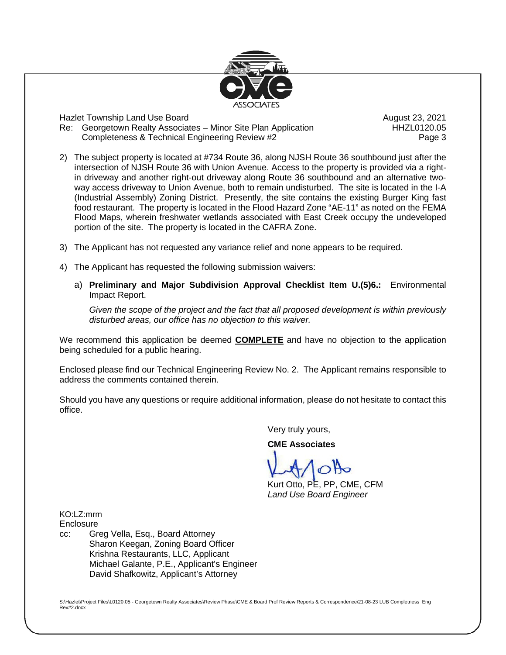

Hazlet Township Land Use Board August 23, 2021

Re: Georgetown Realty Associates – Minor Site Plan Application **HHZL0120.05** Completeness & Technical Engineering Review #2 Page 3

- 2) The subject property is located at #734 Route 36, along NJSH Route 36 southbound just after the intersection of NJSH Route 36 with Union Avenue. Access to the property is provided via a rightin driveway and another right-out driveway along Route 36 southbound and an alternative twoway access driveway to Union Avenue, both to remain undisturbed. The site is located in the I-A (Industrial Assembly) Zoning District. Presently, the site contains the existing Burger King fast food restaurant. The property is located in the Flood Hazard Zone "AE-11" as noted on the FEMA Flood Maps, wherein freshwater wetlands associated with East Creek occupy the undeveloped portion of the site. The property is located in the CAFRA Zone.
- 3) The Applicant has not requested any variance relief and none appears to be required.
- 4) The Applicant has requested the following submission waivers:
	- a) **Preliminary and Major Subdivision Approval Checklist Item U.(5)6.:** Environmental Impact Report.

*Given the scope of the project and the fact that all proposed development is within previously disturbed areas, our office has no objection to this waiver.*

We recommend this application be deemed **COMPLETE** and have no objection to the application being scheduled for a public hearing.

Enclosed please find our Technical Engineering Review No. 2. The Applicant remains responsible to address the comments contained therein.

Should you have any questions or require additional information, please do not hesitate to contact this office.

Very truly yours,

**CME Associates**

Kurt Otto, PE, PP, CME, CFM *Land Use Board Engineer*

KO:LZ:mrm **Enclosure** 

cc: Greg Vella, Esq., Board Attorney Sharon Keegan, Zoning Board Officer Krishna Restaurants, LLC, Applicant Michael Galante, P.E., Applicant's Engineer David Shafkowitz, Applicant's Attorney

S:\Hazlet\Project Files\L0120.05 - Georgetown Realty Associates\Review Phase\CME & Board Prof Review Reports & Correspondence\21-08-23 LUB Completness Eng Rev#2.docx